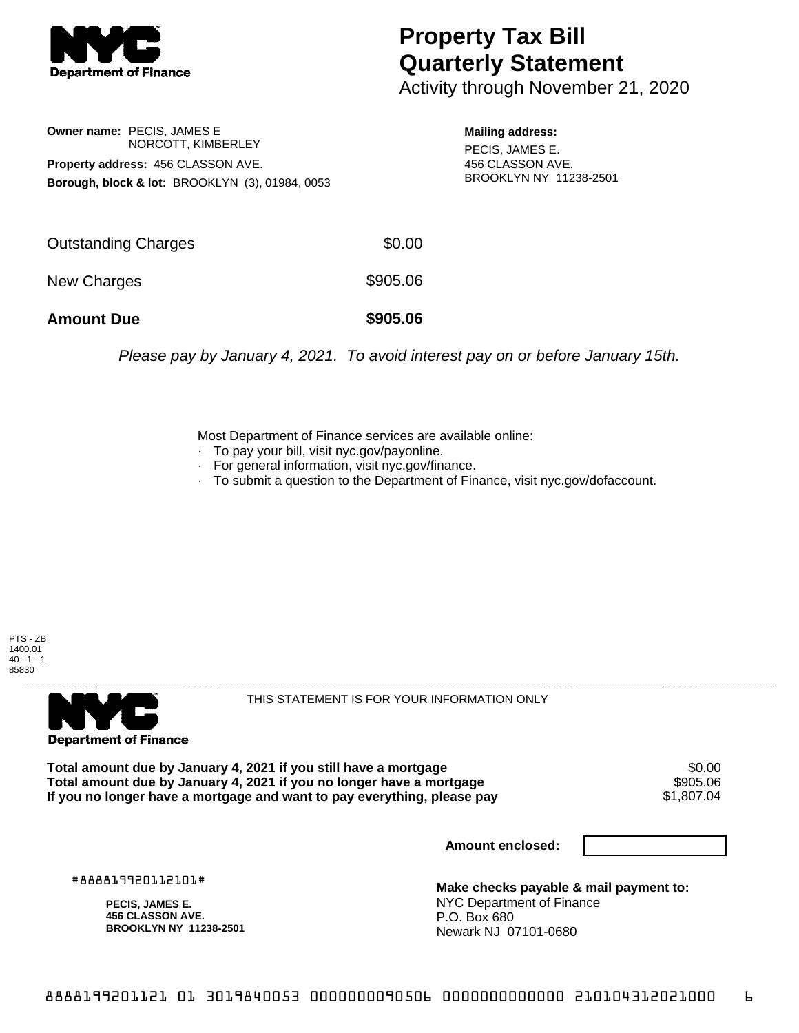

## **Property Tax Bill Quarterly Statement**

Activity through November 21, 2020

**Owner name:** PECIS, JAMES E NORCOTT, KIMBERLEY **Property address:** 456 CLASSON AVE. **Borough, block & lot:** BROOKLYN (3), 01984, 0053

**Mailing address:** PECIS, JAMES E. 456 CLASSON AVE. BROOKLYN NY 11238-2501

| <b>Amount Due</b>          | \$905.06 |
|----------------------------|----------|
| New Charges                | \$905.06 |
|                            |          |
| <b>Outstanding Charges</b> | \$0.00   |

Please pay by January 4, 2021. To avoid interest pay on or before January 15th.

Most Department of Finance services are available online:

- · To pay your bill, visit nyc.gov/payonline.
- For general information, visit nyc.gov/finance.
- · To submit a question to the Department of Finance, visit nyc.gov/dofaccount.





THIS STATEMENT IS FOR YOUR INFORMATION ONLY

Total amount due by January 4, 2021 if you still have a mortgage  $$0.00$ <br>Total amount due by January 4, 2021 if you no longer have a mortgage  $$905.06$ **Total amount due by January 4, 2021 if you no longer have a mortgage \$905.06<br>If you no longer have a mortgage and want to pay everything, please pay \$1.807.04** If you no longer have a mortgage and want to pay everything, please pay

**Amount enclosed:**

#888819920112101#

**PECIS, JAMES E. 456 CLASSON AVE. BROOKLYN NY 11238-2501**

**Make checks payable & mail payment to:** NYC Department of Finance P.O. Box 680 Newark NJ 07101-0680